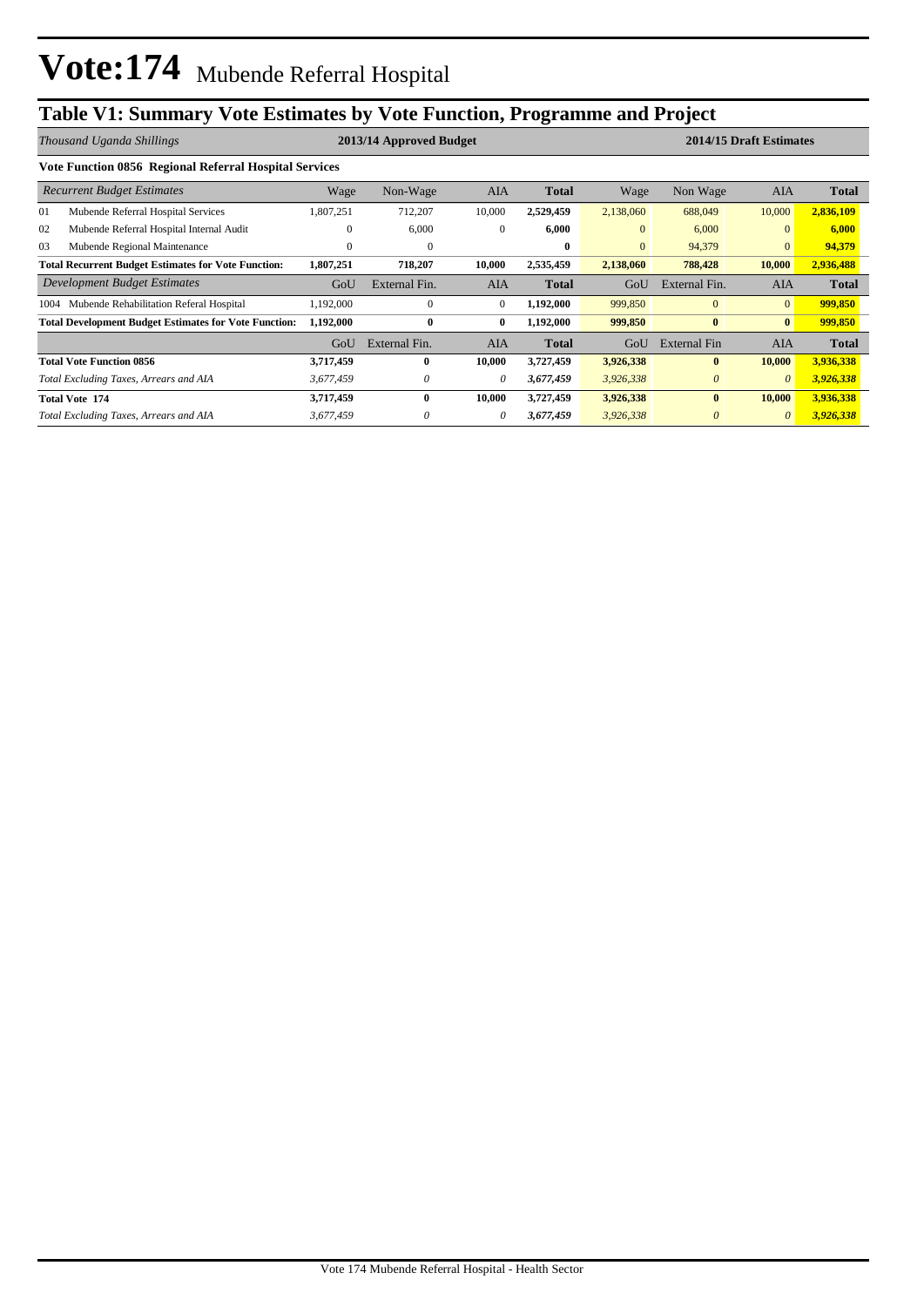# **Table V1: Summary Vote Estimates by Vote Function, Programme and Project**

|                                                            | Thousand Uganda Shillings                                    |              | 2013/14 Approved Budget |              |              | 2014/15 Draft Estimates |                     |                |              |  |  |  |
|------------------------------------------------------------|--------------------------------------------------------------|--------------|-------------------------|--------------|--------------|-------------------------|---------------------|----------------|--------------|--|--|--|
| Vote Function 0856 Regional Referral Hospital Services     |                                                              |              |                         |              |              |                         |                     |                |              |  |  |  |
|                                                            | <b>Recurrent Budget Estimates</b>                            | Wage         | Non-Wage                | <b>AIA</b>   | Total        | Wage                    | Non Wage            | <b>AIA</b>     | Total        |  |  |  |
| 01                                                         | Mubende Referral Hospital Services                           | .807,251     | 712,207                 | 10,000       | 2,529,459    | 2,138,060               | 688,049             | 10,000         | 2,836,109    |  |  |  |
| 02                                                         | Mubende Referral Hospital Internal Audit                     | 0            | 6,000                   | $\mathbf{0}$ | 6,000        | $\mathbf{0}$            | 6,000               | $\mathbf{0}$   | 6,000        |  |  |  |
| 03                                                         | Mubende Regional Maintenance                                 | $\mathbf{0}$ | $\mathbf{0}$            |              | $\mathbf{0}$ | $\mathbf{0}$            | 94,379              | $\mathbf{0}$   | 94,379       |  |  |  |
| <b>Total Recurrent Budget Estimates for Vote Function:</b> |                                                              | 1,807,251    | 718,207                 | 10,000       | 2,535,459    | 2,138,060               | 788,428             | 10,000         | 2,936,488    |  |  |  |
|                                                            | Development Budget Estimates                                 | GoU          | External Fin.           | <b>AIA</b>   | <b>Total</b> | GoU                     | External Fin.       | <b>AIA</b>     | Total        |  |  |  |
| 1004                                                       | Mubende Rehabilitation Referal Hospital                      | .192,000     | $\mathbf{0}$            | $\mathbf{0}$ | 1,192,000    | 999,850                 | $\mathbf{0}$        | $\overline{0}$ | 999,850      |  |  |  |
|                                                            | <b>Total Development Budget Estimates for Vote Function:</b> | 1,192,000    | $\bf{0}$                | $\bf{0}$     | 1,192,000    | 999,850                 | $\bf{0}$            | $\bf{0}$       | 999,850      |  |  |  |
|                                                            |                                                              | GoU          | External Fin.           | <b>AIA</b>   | <b>Total</b> | GoU                     | <b>External Fin</b> | <b>AIA</b>     | <b>Total</b> |  |  |  |
|                                                            | <b>Total Vote Function 0856</b>                              | 3,717,459    | 0                       | 10,000       | 3,727,459    | 3,926,338               | $\mathbf{0}$        | 10,000         | 3,936,338    |  |  |  |
|                                                            | Total Excluding Taxes, Arrears and AIA                       | 3,677,459    | 0                       | $\theta$     | 3,677,459    | 3,926,338               | $\theta$            | $\theta$       | 3,926,338    |  |  |  |
|                                                            | <b>Total Vote 174</b>                                        | 3,717,459    | $\bf{0}$                | 10,000       | 3,727,459    | 3,926,338               | $\bf{0}$            | 10,000         | 3,936,338    |  |  |  |
|                                                            | Total Excluding Taxes, Arrears and AIA                       | 3,677,459    | 0                       | 0            | 3,677,459    | 3,926,338               | $\theta$            | $\theta$       | 3,926,338    |  |  |  |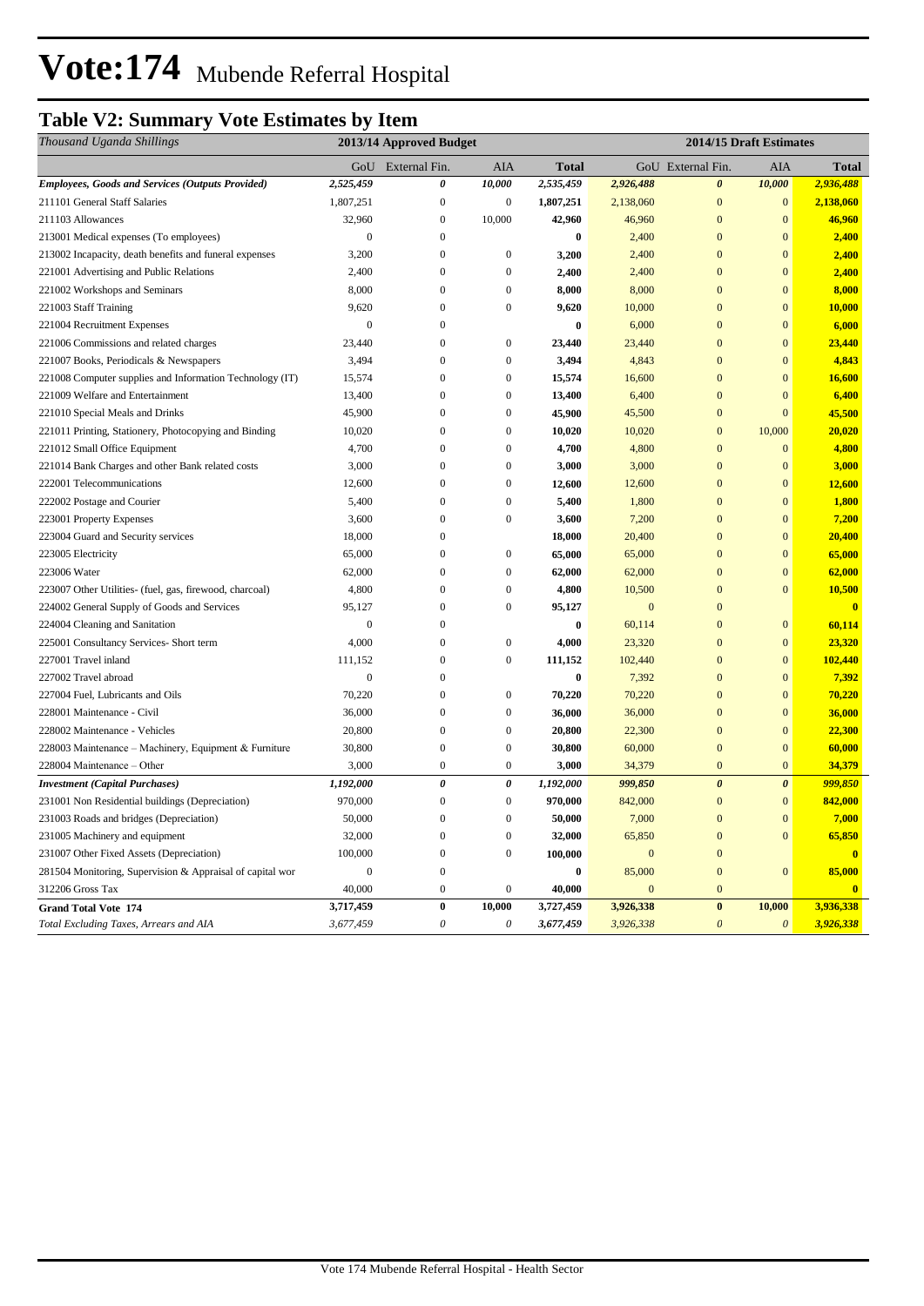# **Vote:174** Mubende Referral Hospital

### **Table V2: Summary Vote Estimates by Item**

| Thousand Uganda Shillings                                 |                  | 2013/14 Approved Budget |                           |                  | 2014/15 Draft Estimates |                       |                       |                         |
|-----------------------------------------------------------|------------------|-------------------------|---------------------------|------------------|-------------------------|-----------------------|-----------------------|-------------------------|
|                                                           |                  | GoU External Fin.       | AIA                       | <b>Total</b>     |                         | GoU External Fin.     | AIA                   | <b>Total</b>            |
| <b>Employees, Goods and Services (Outputs Provided)</b>   | 2,525,459        | 0                       | 10,000                    | 2,535,459        | 2,926,488               | $\boldsymbol{\theta}$ | 10,000                | 2,936,488               |
| 211101 General Staff Salaries                             | 1,807,251        | $\boldsymbol{0}$        | $\boldsymbol{0}$          | 1,807,251        | 2,138,060               | $\mathbf{0}$          | $\mathbf{0}$          | 2,138,060               |
| 211103 Allowances                                         | 32,960           | $\mathbf{0}$            | 10,000                    | 42,960           | 46,960                  | $\overline{0}$        | $\mathbf{0}$          | 46,960                  |
| 213001 Medical expenses (To employees)                    | $\boldsymbol{0}$ | $\boldsymbol{0}$        |                           | $\bf{0}$         | 2,400                   | $\mathbf{0}$          | $\mathbf{0}$          | 2,400                   |
| 213002 Incapacity, death benefits and funeral expenses    | 3,200            | $\mathbf{0}$            | $\boldsymbol{0}$          | 3,200            | 2,400                   | $\overline{0}$        | $\mathbf{0}$          | 2,400                   |
| 221001 Advertising and Public Relations                   | 2,400            | $\boldsymbol{0}$        | $\boldsymbol{0}$          | 2,400            | 2,400                   | $\mathbf{0}$          | $\mathbf{0}$          | 2,400                   |
| 221002 Workshops and Seminars                             | 8,000            | $\mathbf{0}$            | $\boldsymbol{0}$          | 8,000            | 8,000                   | $\overline{0}$        | $\overline{0}$        | 8,000                   |
| 221003 Staff Training                                     | 9,620            | $\mathbf{0}$            | $\mathbf{0}$              | 9,620            | 10,000                  | $\overline{0}$        | $\overline{0}$        | 10,000                  |
| 221004 Recruitment Expenses                               | $\boldsymbol{0}$ | $\Omega$                |                           | $\boldsymbol{0}$ | 6,000                   | $\mathbf{0}$          | $\mathbf{0}$          | 6,000                   |
| 221006 Commissions and related charges                    | 23,440           | $\boldsymbol{0}$        | $\boldsymbol{0}$          | 23,440           | 23,440                  | $\mathbf{0}$          | $\mathbf{0}$          | 23,440                  |
| 221007 Books, Periodicals & Newspapers                    | 3,494            | $\mathbf{0}$            | $\boldsymbol{0}$          | 3,494            | 4,843                   | $\overline{0}$        | $\overline{0}$        | 4,843                   |
| 221008 Computer supplies and Information Technology (IT)  | 15,574           | $\mathbf{0}$            | $\boldsymbol{0}$          | 15,574           | 16,600                  | $\overline{0}$        | $\boldsymbol{0}$      | 16,600                  |
| 221009 Welfare and Entertainment                          | 13,400           | $\overline{0}$          | $\mathbf{0}$              | 13,400           | 6,400                   | $\overline{0}$        | $\mathbf{0}$          | 6,400                   |
| 221010 Special Meals and Drinks                           | 45,900           | $\overline{0}$          | $\mathbf{0}$              | 45,900           | 45,500                  | $\overline{0}$        | $\overline{0}$        | 45,500                  |
| 221011 Printing, Stationery, Photocopying and Binding     | 10,020           | $\boldsymbol{0}$        | $\boldsymbol{0}$          | 10,020           | 10,020                  | $\mathbf{0}$          | 10,000                | 20,020                  |
| 221012 Small Office Equipment                             | 4,700            | $\mathbf{0}$            | $\overline{0}$            | 4,700            | 4,800                   | $\overline{0}$        | $\mathbf{0}$          | 4,800                   |
| 221014 Bank Charges and other Bank related costs          | 3,000            | $\boldsymbol{0}$        | $\boldsymbol{0}$          | 3,000            | 3,000                   | $\mathbf{0}$          | $\mathbf{0}$          | 3,000                   |
| 222001 Telecommunications                                 | 12,600           | $\overline{0}$          | $\mathbf{0}$              | 12,600           | 12,600                  | $\overline{0}$        | $\overline{0}$        | 12,600                  |
| 222002 Postage and Courier                                | 5,400            | $\boldsymbol{0}$        | $\boldsymbol{0}$          | 5,400            | 1,800                   | $\mathbf{0}$          | $\mathbf{0}$          | 1,800                   |
| 223001 Property Expenses                                  | 3,600            | $\bf{0}$                | $\boldsymbol{0}$          | 3,600            | 7,200                   | $\mathbf{0}$          | $\mathbf{0}$          | 7,200                   |
| 223004 Guard and Security services                        | 18,000           | $\mathbf{0}$            |                           | 18,000           | 20,400                  | $\overline{0}$        | $\mathbf{0}$          | 20,400                  |
| 223005 Electricity                                        | 65,000           | $\mathbf{0}$            | $\boldsymbol{0}$          | 65,000           | 65,000                  | $\overline{0}$        | $\overline{0}$        | 65,000                  |
| 223006 Water                                              | 62,000           | $\overline{0}$          | $\boldsymbol{0}$          | 62,000           | 62,000                  | $\overline{0}$        | $\mathbf{0}$          | 62,000                  |
| 223007 Other Utilities- (fuel, gas, firewood, charcoal)   | 4,800            | $\overline{0}$          | $\overline{0}$            | 4,800            | 10,500                  | $\mathbf{0}$          | $\overline{0}$        | 10,500                  |
| 224002 General Supply of Goods and Services               | 95,127           | $\boldsymbol{0}$        | $\boldsymbol{0}$          | 95,127           | $\mathbf{0}$            | $\mathbf{0}$          |                       | $\bf{0}$                |
| 224004 Cleaning and Sanitation                            | $\overline{0}$   | $\mathbf{0}$            |                           | $\boldsymbol{0}$ | 60,114                  | $\overline{0}$        | $\boldsymbol{0}$      | 60,114                  |
| 225001 Consultancy Services- Short term                   | 4,000            | $\overline{0}$          | $\boldsymbol{0}$          | 4,000            | 23,320                  | $\overline{0}$        | $\mathbf{0}$          | 23,320                  |
| 227001 Travel inland                                      | 111,152          | $\mathbf{0}$            | $\boldsymbol{0}$          | 111,152          | 102,440                 | $\overline{0}$        | $\mathbf{0}$          | 102,440                 |
| 227002 Travel abroad                                      | $\boldsymbol{0}$ | $\boldsymbol{0}$        |                           | $\bf{0}$         | 7,392                   | $\mathbf{0}$          | $\mathbf{0}$          | 7,392                   |
| 227004 Fuel, Lubricants and Oils                          | 70,220           | $\mathbf{0}$            | $\boldsymbol{0}$          | 70,220           | 70,220                  | $\overline{0}$        | $\mathbf{0}$          | 70,220                  |
| 228001 Maintenance - Civil                                | 36,000           | $\boldsymbol{0}$        | $\boldsymbol{0}$          | 36,000           | 36,000                  | $\mathbf{0}$          | $\boldsymbol{0}$      | 36,000                  |
| 228002 Maintenance - Vehicles                             | 20,800           | $\mathbf{0}$            | $\boldsymbol{0}$          | 20,800           | 22,300                  | $\overline{0}$        | $\mathbf{0}$          | 22,300                  |
| 228003 Maintenance - Machinery, Equipment & Furniture     | 30,800           | $\overline{0}$          | $\boldsymbol{0}$          | 30,800           | 60,000                  | $\overline{0}$        | $\mathbf{0}$          | 60,000                  |
| 228004 Maintenance – Other                                | 3,000            | $\boldsymbol{0}$        | $\boldsymbol{0}$          | 3,000            | 34,379                  | $\overline{0}$        | $\mathbf{0}$          | 34,379                  |
| <b>Investment</b> (Capital Purchases)                     | 1,192,000        | $\boldsymbol{\theta}$   | $\pmb{\theta}$            | 1,192,000        | 999,850                 | $\boldsymbol{\theta}$ | $\boldsymbol{\theta}$ | 999,850                 |
| 231001 Non Residential buildings (Depreciation)           | 970,000          | $\boldsymbol{0}$        | $\boldsymbol{0}$          | 970,000          | 842,000                 | $\mathbf{0}$          | $\bf{0}$              | 842,000                 |
| 231003 Roads and bridges (Depreciation)                   | 50,000           | $\overline{0}$          | $\overline{0}$            | 50,000           | 7,000                   | $\overline{0}$        | $\overline{0}$        | 7,000                   |
| 231005 Machinery and equipment                            | 32,000           | $\mathbf{0}$            | $\boldsymbol{0}$          | 32,000           | 65,850                  | $\overline{0}$        | $\overline{0}$        | 65,850                  |
| 231007 Other Fixed Assets (Depreciation)                  | 100,000          | $\bf{0}$                | $\boldsymbol{0}$          | 100,000          | $\boldsymbol{0}$        | $\Omega$              |                       |                         |
| 281504 Monitoring, Supervision & Appraisal of capital wor | $\boldsymbol{0}$ | $\boldsymbol{0}$        |                           | $\bf{0}$         | 85,000                  | $\mathbf{0}$          | $\mathbf{0}$          | 85,000                  |
| 312206 Gross Tax                                          | 40,000           | $\boldsymbol{0}$        | $\boldsymbol{0}$          | 40,000           | $\mathbf{0}$            | $\mathbf{0}$          |                       | $\overline{\mathbf{0}}$ |
| <b>Grand Total Vote 174</b>                               | 3,717,459        | $\bf{0}$                | 10,000                    | 3,727,459        | 3,926,338               | $\bf{0}$              | 10,000                | 3,936,338               |
| Total Excluding Taxes, Arrears and AIA                    | 3,677,459        | $\theta$                | $\boldsymbol{\mathit{0}}$ | 3,677,459        | 3,926,338               | $\mathcal{O}$         | $\boldsymbol{\theta}$ | 3,926,338               |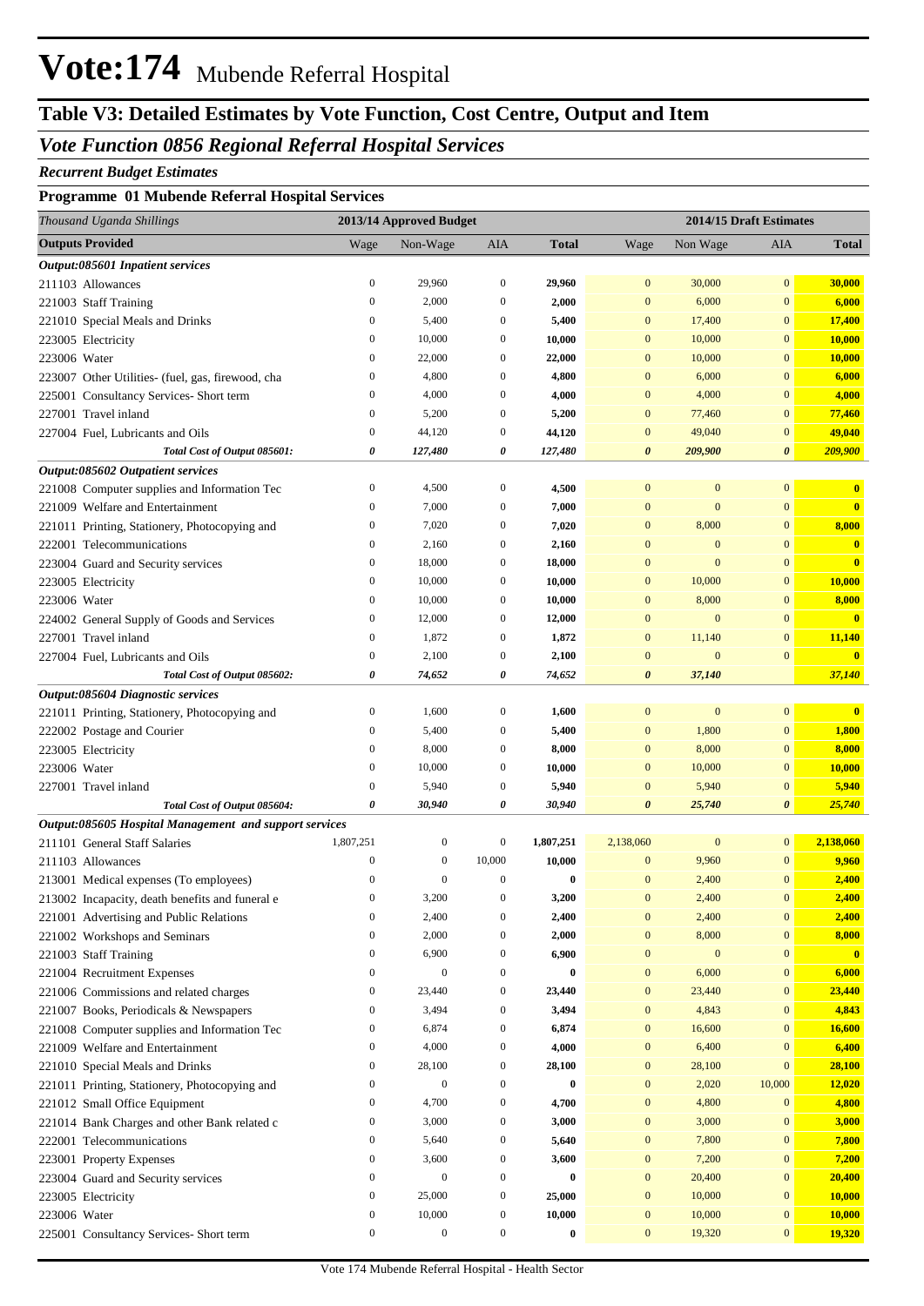# **Vote:174** Mubende Referral Hospital

## **Table V3: Detailed Estimates by Vote Function, Cost Centre, Output and Item**

#### *Vote Function 0856 Regional Referral Hospital Services*

#### *Recurrent Budget Estimates*

#### **Programme 01 Mubende Referral Hospital Services**

| Thousand Uganda Shillings                              |                                      | 2013/14 Approved Budget   |                                      |                    |                                      | 2014/15 Draft Estimates |                                      |                         |
|--------------------------------------------------------|--------------------------------------|---------------------------|--------------------------------------|--------------------|--------------------------------------|-------------------------|--------------------------------------|-------------------------|
| <b>Outputs Provided</b>                                | Wage                                 | Non-Wage                  | AIA                                  | <b>Total</b>       | Wage                                 | Non Wage                | AIA                                  | <b>Total</b>            |
| Output:085601 Inpatient services                       |                                      |                           |                                      |                    |                                      |                         |                                      |                         |
| 211103 Allowances                                      | $\boldsymbol{0}$                     | 29,960                    | $\boldsymbol{0}$                     | 29,960             | $\mathbf{0}$                         | 30,000                  | $\mathbf{0}$                         | 30,000                  |
| 221003 Staff Training                                  | $\boldsymbol{0}$                     | 2,000                     | $\boldsymbol{0}$                     | 2,000              | $\mathbf{0}$                         | 6,000                   | $\mathbf{0}$                         | 6,000                   |
| 221010 Special Meals and Drinks                        | $\boldsymbol{0}$                     | 5,400                     | $\boldsymbol{0}$                     | 5,400              | $\mathbf{0}$                         | 17,400                  | $\bf{0}$                             | 17,400                  |
| 223005 Electricity                                     | $\boldsymbol{0}$                     | 10,000                    | $\boldsymbol{0}$                     | 10,000             | $\mathbf{0}$                         | 10,000                  | $\bf{0}$                             | 10,000                  |
| 223006 Water                                           | $\mathbf{0}$                         | 22,000                    | $\boldsymbol{0}$                     | 22,000             | $\mathbf{0}$                         | 10,000                  | $\bf{0}$                             | 10,000                  |
| 223007 Other Utilities- (fuel, gas, firewood, cha      | $\boldsymbol{0}$                     | 4,800                     | $\boldsymbol{0}$                     | 4,800              | $\mathbf{0}$                         | 6,000                   | $\bf{0}$                             | 6,000                   |
| 225001 Consultancy Services- Short term                | $\boldsymbol{0}$                     | 4,000                     | $\boldsymbol{0}$                     | 4,000              | $\mathbf{0}$                         | 4,000                   | $\bf{0}$                             | 4,000                   |
| 227001 Travel inland                                   | $\mathbf{0}$                         | 5,200                     | $\boldsymbol{0}$                     | 5,200              | $\mathbf{0}$                         | 77,460                  | $\bf{0}$                             | 77,460                  |
| 227004 Fuel, Lubricants and Oils                       | $\boldsymbol{0}$                     | 44,120                    | $\boldsymbol{0}$                     | 44,120             | $\mathbf{0}$                         | 49,040                  | $\bf{0}$                             | 49,040                  |
| Total Cost of Output 085601:                           | 0                                    | 127,480                   | 0                                    | 127,480            | $\boldsymbol{\theta}$                | 209,900                 | $\boldsymbol{\theta}$                | 209,900                 |
| Output:085602 Outpatient services                      |                                      |                           |                                      |                    |                                      |                         |                                      |                         |
| 221008 Computer supplies and Information Tec           | $\boldsymbol{0}$                     | 4,500                     | $\boldsymbol{0}$                     | 4,500              | $\mathbf{0}$                         | $\mathbf{0}$            | $\mathbf{0}$                         | $\bf{0}$                |
| 221009 Welfare and Entertainment                       | $\mathbf{0}$                         | 7,000                     | $\boldsymbol{0}$                     | 7,000              | $\mathbf{0}$                         | $\overline{0}$          | $\mathbf{0}$                         | $\overline{\mathbf{0}}$ |
| 221011 Printing, Stationery, Photocopying and          | $\boldsymbol{0}$                     | 7,020                     | $\boldsymbol{0}$                     | 7,020              | $\mathbf{0}$                         | 8,000                   | $\bf{0}$                             | 8,000                   |
| 222001 Telecommunications                              | $\boldsymbol{0}$                     | 2,160                     | $\boldsymbol{0}$                     | 2,160              | $\mathbf{0}$                         | $\mathbf{0}$            | $\bf{0}$                             | $\mathbf{0}$            |
| 223004 Guard and Security services                     | $\boldsymbol{0}$                     | 18,000                    | $\boldsymbol{0}$                     | 18,000             | $\mathbf{0}$                         | $\overline{0}$          | $\overline{0}$                       | $\overline{\mathbf{0}}$ |
| 223005 Electricity                                     | $\mathbf{0}$                         | 10,000                    | $\boldsymbol{0}$                     | 10,000             | $\mathbf{0}$                         | 10,000                  | $\bf{0}$                             | 10,000                  |
| 223006 Water                                           | $\mathbf{0}$                         | 10,000                    | $\boldsymbol{0}$                     | 10,000             | $\mathbf{0}$                         | 8,000                   | $\bf{0}$                             | 8,000                   |
| 224002 General Supply of Goods and Services            | $\boldsymbol{0}$                     | 12,000                    | $\boldsymbol{0}$                     | 12,000             | $\mathbf{0}$                         | $\mathbf{0}$            | $\bf{0}$                             | $\overline{\mathbf{0}}$ |
| 227001 Travel inland                                   | $\mathbf{0}$                         | 1,872                     | $\boldsymbol{0}$                     | 1,872              | $\mathbf{0}$                         | 11,140                  | $\bf{0}$                             | 11,140                  |
| 227004 Fuel, Lubricants and Oils                       | $\boldsymbol{0}$                     | 2,100                     | $\boldsymbol{0}$                     | 2,100              | $\mathbf{0}$                         | $\mathbf{0}$            | $\overline{0}$                       | $\bf{0}$                |
| Total Cost of Output 085602:                           | 0                                    | 74,652                    | 0                                    | 74,652             | $\boldsymbol{\theta}$                | 37,140                  |                                      | 37,140                  |
| Output:085604 Diagnostic services                      |                                      |                           |                                      |                    |                                      |                         |                                      |                         |
| 221011 Printing, Stationery, Photocopying and          | $\boldsymbol{0}$                     | 1,600                     | $\boldsymbol{0}$                     | 1,600              | $\boldsymbol{0}$                     | $\boldsymbol{0}$        | $\mathbf{0}$                         | $\bf{0}$                |
| 222002 Postage and Courier                             | $\boldsymbol{0}$                     | 5,400                     | $\boldsymbol{0}$                     | 5,400              | $\mathbf{0}$                         | 1,800                   | $\mathbf{0}$                         | 1,800                   |
| 223005 Electricity                                     | $\boldsymbol{0}$                     | 8,000                     | $\boldsymbol{0}$                     | 8,000              | $\mathbf{0}$                         | 8,000                   | $\bf{0}$                             | 8,000                   |
| 223006 Water                                           | $\boldsymbol{0}$                     | 10,000                    | $\boldsymbol{0}$                     | 10,000             | $\mathbf{0}$                         | 10,000                  | $\bf{0}$                             | 10,000                  |
| 227001 Travel inland                                   | $\mathbf{0}$                         | 5,940                     | $\boldsymbol{0}$                     | 5,940              | $\mathbf{0}$                         | 5,940                   | $\boldsymbol{0}$                     | 5,940                   |
| Total Cost of Output 085604:                           | $\boldsymbol{\theta}$                | 30,940                    | 0                                    | 30,940             | $\boldsymbol{\theta}$                | 25,740                  | $\boldsymbol{\theta}$                | 25,740                  |
| Output:085605 Hospital Management and support services |                                      |                           |                                      |                    |                                      |                         |                                      |                         |
| 211101 General Staff Salaries                          | 1,807,251                            | $\boldsymbol{0}$          | $\boldsymbol{0}$                     | 1,807,251          | 2,138,060                            | $\boldsymbol{0}$        | $\boldsymbol{0}$                     | 2,138,060               |
| 211103 Allowances                                      | $\boldsymbol{0}$                     | $\boldsymbol{0}$          | 10,000                               | 10,000             | $\boldsymbol{0}$                     | 9,960                   | $\mathbf{0}$                         | 9,960                   |
| 213001 Medical expenses (To employees)                 | $\boldsymbol{0}$                     | $\boldsymbol{0}$          | $\boldsymbol{0}$                     | $\bf{0}$           | $\mathbf{0}$                         | 2,400                   | $\mathbf{0}$                         | 2,400                   |
| 213002 Incapacity, death benefits and funeral e        | $\mathbf{0}$                         | 3,200                     | $\boldsymbol{0}$                     | 3,200              | $\overline{0}$                       | 2,400                   | $\mathbf{0}$                         | 2,400                   |
| 221001 Advertising and Public Relations                | $\boldsymbol{0}$                     | 2,400                     | $\boldsymbol{0}$                     | 2,400              | $\boldsymbol{0}$                     | 2,400                   | $\boldsymbol{0}$                     | 2,400                   |
| 221002 Workshops and Seminars                          | $\boldsymbol{0}$                     | 2,000                     | $\boldsymbol{0}$                     | 2,000              | $\boldsymbol{0}$                     | 8,000                   | $\boldsymbol{0}$                     | 8,000                   |
| 221003 Staff Training                                  | $\boldsymbol{0}$                     | 6,900                     | $\boldsymbol{0}$                     | 6,900              | $\boldsymbol{0}$                     | $\boldsymbol{0}$        | $\boldsymbol{0}$                     | $\mathbf{0}$            |
| 221004 Recruitment Expenses                            | $\boldsymbol{0}$                     | $\boldsymbol{0}$          | $\boldsymbol{0}$                     | $\bf{0}$           | $\boldsymbol{0}$                     | 6,000                   | $\boldsymbol{0}$                     | 6,000                   |
| 221006 Commissions and related charges                 | $\boldsymbol{0}$                     | 23,440                    | $\boldsymbol{0}$                     | 23,440             | $\boldsymbol{0}$                     | 23,440                  | $\boldsymbol{0}$                     | 23,440                  |
| 221007 Books, Periodicals & Newspapers                 | $\boldsymbol{0}$                     | 3,494                     | $\boldsymbol{0}$                     | 3,494              | $\boldsymbol{0}$                     | 4,843                   | $\boldsymbol{0}$                     | 4,843                   |
| 221008 Computer supplies and Information Tec           | $\boldsymbol{0}$                     | 6,874                     | $\boldsymbol{0}$                     | 6,874              | $\boldsymbol{0}$                     | 16,600                  | $\boldsymbol{0}$                     | 16,600                  |
| 221009 Welfare and Entertainment                       | $\boldsymbol{0}$                     | 4,000                     | $\boldsymbol{0}$                     | 4,000              | $\boldsymbol{0}$                     | 6,400                   | $\boldsymbol{0}$                     | 6,400                   |
| 221010 Special Meals and Drinks                        | $\boldsymbol{0}$                     | 28,100                    | $\boldsymbol{0}$                     | 28,100             | $\boldsymbol{0}$                     | 28,100                  | $\mathbf{0}$                         | 28,100                  |
| 221011 Printing, Stationery, Photocopying and          | $\boldsymbol{0}$                     | $\boldsymbol{0}$          | $\boldsymbol{0}$                     | $\bf{0}$           | $\boldsymbol{0}$                     | 2,020                   | 10,000                               | 12,020                  |
| 221012 Small Office Equipment                          | $\boldsymbol{0}$                     | 4,700                     | $\boldsymbol{0}$                     | 4,700              | $\boldsymbol{0}$                     | 4,800                   | $\boldsymbol{0}$                     | 4,800                   |
| 221014 Bank Charges and other Bank related c           | $\boldsymbol{0}$                     | 3,000                     | $\boldsymbol{0}$                     | 3,000              | $\boldsymbol{0}$                     | 3,000                   | 0                                    | 3,000                   |
| 222001 Telecommunications                              | $\boldsymbol{0}$                     | 5,640                     | $\boldsymbol{0}$                     | 5,640              | $\boldsymbol{0}$                     | 7,800                   | $\boldsymbol{0}$                     | 7,800                   |
| 223001 Property Expenses                               | $\boldsymbol{0}$<br>$\boldsymbol{0}$ | 3,600<br>$\boldsymbol{0}$ | $\boldsymbol{0}$<br>$\boldsymbol{0}$ | 3,600              | $\boldsymbol{0}$<br>$\boldsymbol{0}$ | 7,200                   | $\boldsymbol{0}$<br>$\boldsymbol{0}$ | 7,200                   |
| 223004 Guard and Security services                     | $\boldsymbol{0}$                     | 25,000                    | $\boldsymbol{0}$                     | $\bf{0}$<br>25,000 | $\boldsymbol{0}$                     | 20,400<br>10,000        | $\boldsymbol{0}$                     | 20,400<br>10,000        |
| 223005 Electricity                                     | $\boldsymbol{0}$                     | 10,000                    | $\boldsymbol{0}$                     | 10,000             | $\boldsymbol{0}$                     | 10,000                  | $\boldsymbol{0}$                     | 10,000                  |
| 223006 Water                                           | $\boldsymbol{0}$                     | $\boldsymbol{0}$          | $\boldsymbol{0}$                     | $\bf{0}$           | $\boldsymbol{0}$                     | 19,320                  | $\boldsymbol{0}$                     |                         |
| 225001 Consultancy Services- Short term                |                                      |                           |                                      |                    |                                      |                         |                                      | 19,320                  |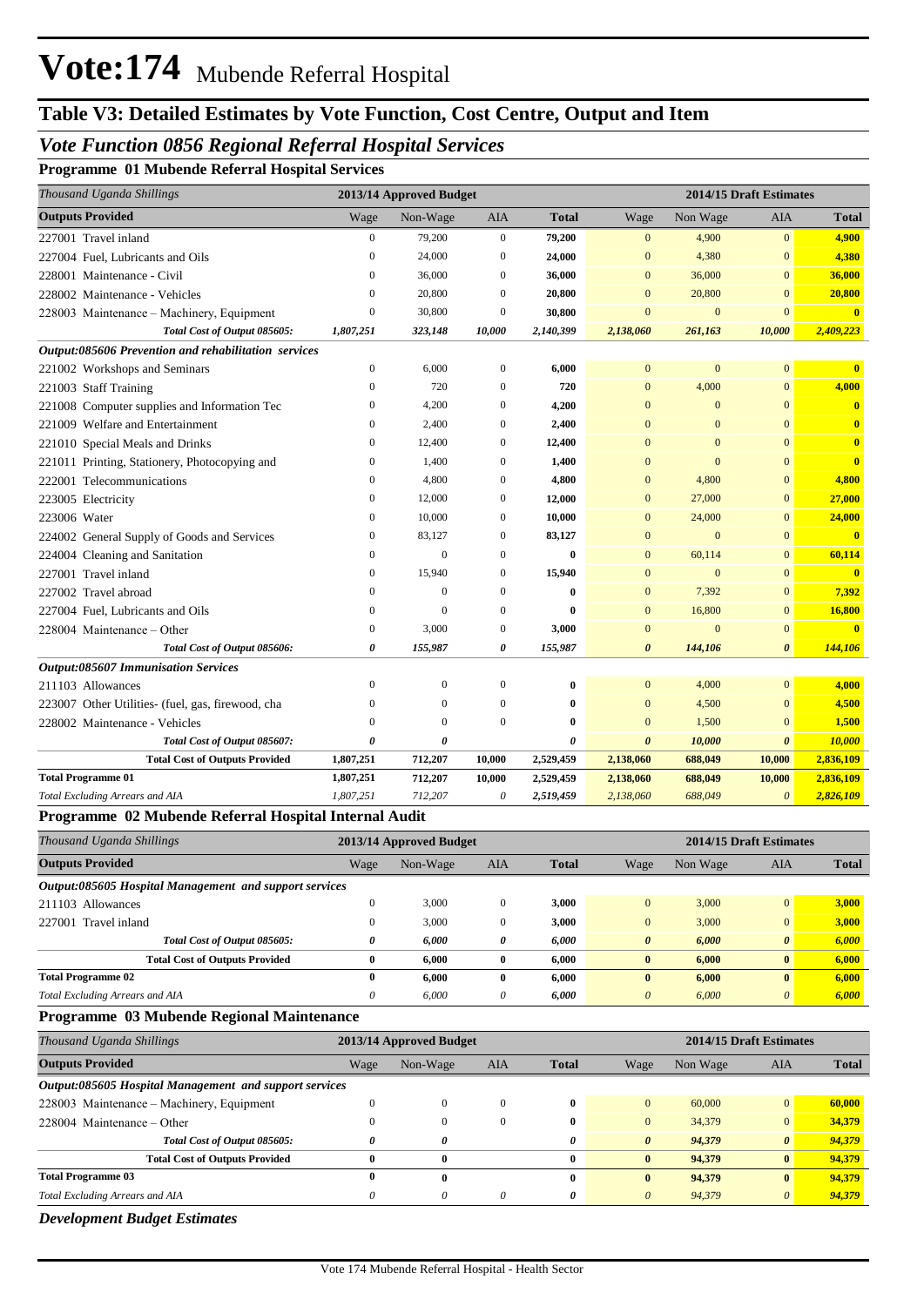## **Table V3: Detailed Estimates by Vote Function, Cost Centre, Output and Item**

#### *Vote Function 0856 Regional Referral Hospital Services*

**Programme 01 Mubende Referral Hospital Services**

| Thousand Uganda Shillings                            |                       | 2013/14 Approved Budget |                  |                       | 2014/15 Draft Estimates |                |                       |                         |  |
|------------------------------------------------------|-----------------------|-------------------------|------------------|-----------------------|-------------------------|----------------|-----------------------|-------------------------|--|
| <b>Outputs Provided</b>                              | Wage                  | Non-Wage                | AIA              | <b>Total</b>          | Wage                    | Non Wage       | <b>AIA</b>            | <b>Total</b>            |  |
| 227001 Travel inland                                 | $\boldsymbol{0}$      | 79,200                  | $\mathbf{0}$     | 79,200                | $\mathbf{0}$            | 4,900          | $\mathbf{0}$          | 4,900                   |  |
| 227004 Fuel, Lubricants and Oils                     | $\mathbf{0}$          | 24,000                  | 0                | 24,000                | $\bf{0}$                | 4,380          | $\bf{0}$              | 4,380                   |  |
| 228001 Maintenance - Civil                           | $\mathbf{0}$          | 36,000                  | $\mathbf{0}$     | 36,000                | $\mathbf{0}$            | 36,000         | $\mathbf{0}$          | 36,000                  |  |
| 228002 Maintenance - Vehicles                        | $\overline{0}$        | 20,800                  | $\mathbf{0}$     | 20,800                | $\mathbf{0}$            | 20,800         | $\overline{0}$        | 20,800                  |  |
| 228003 Maintenance – Machinery, Equipment            | $\mathbf{0}$          | 30,800                  | 0                | 30,800                | $\overline{0}$          | $\mathbf{0}$   | $\bf{0}$              | $\overline{\mathbf{0}}$ |  |
| Total Cost of Output 085605:                         | 1,807,251             | 323,148                 | 10,000           | 2,140,399             | 2,138,060               | 261,163        | 10,000                | 2,409,223               |  |
| Output:085606 Prevention and rehabilitation services |                       |                         |                  |                       |                         |                |                       |                         |  |
| 221002 Workshops and Seminars                        | $\boldsymbol{0}$      | 6,000                   | $\mathbf{0}$     | 6,000                 | $\overline{0}$          | $\mathbf{0}$   | $\overline{0}$        | $\bf{0}$                |  |
| 221003 Staff Training                                | $\mathbf{0}$          | 720                     | $\mathbf{0}$     | 720                   | $\boldsymbol{0}$        | 4,000          | $\mathbf{0}$          | 4,000                   |  |
| 221008 Computer supplies and Information Tec         | $\boldsymbol{0}$      | 4,200                   | $\boldsymbol{0}$ | 4,200                 | $\bf{0}$                | $\mathbf{0}$   | $\mathbf{0}$          | $\mathbf{0}$            |  |
| 221009 Welfare and Entertainment                     | $\mathbf{0}$          | 2,400                   | $\mathbf{0}$     | 2,400                 | $\mathbf{0}$            | $\mathbf{0}$   | $\overline{0}$        | $\overline{\mathbf{0}}$ |  |
| 221010 Special Meals and Drinks                      | $\mathbf{0}$          | 12,400                  | $\Omega$         | 12,400                | $\Omega$                | $\mathbf{0}$   | $\overline{0}$        | $\bf{0}$                |  |
| 221011 Printing, Stationery, Photocopying and        | $\overline{0}$        | 1,400                   | $\mathbf{0}$     | 1,400                 | $\overline{0}$          | $\overline{0}$ | $\overline{0}$        | $\mathbf{0}$            |  |
| 222001 Telecommunications                            | $\mathbf{0}$          | 4,800                   | $\boldsymbol{0}$ | 4,800                 | $\bf{0}$                | 4,800          | $\mathbf{0}$          | 4,800                   |  |
| 223005 Electricity                                   | 0                     | 12,000                  | 0                | 12,000                | $\bf{0}$                | 27,000         | $\bf{0}$              | 27,000                  |  |
| 223006 Water                                         | $\mathbf{0}$          | 10,000                  | 0                | 10,000                | $\bf{0}$                | 24,000         | $\mathbf{0}$          | 24,000                  |  |
| 224002 General Supply of Goods and Services          | $\boldsymbol{0}$      | 83,127                  | $\mathbf{0}$     | 83,127                | $\mathbf{0}$            | $\mathbf{0}$   | $\mathbf{0}$          | $\overline{\mathbf{0}}$ |  |
| 224004 Cleaning and Sanitation                       | $\mathbf{0}$          | $\overline{0}$          | $\mathbf{0}$     | $\bf{0}$              | $\mathbf{0}$            | 60,114         | $\mathbf{0}$          | 60,114                  |  |
| 227001 Travel inland                                 | $\mathbf{0}$          | 15,940                  | $\mathbf{0}$     | 15,940                | $\overline{0}$          | $\mathbf{0}$   | $\overline{0}$        | $\mathbf{0}$            |  |
| 227002 Travel abroad                                 | $\mathbf{0}$          | $\mathbf{0}$            | $\mathbf{0}$     | $\bf{0}$              | $\bf{0}$                | 7,392          | $\mathbf{0}$          | 7,392                   |  |
| 227004 Fuel, Lubricants and Oils                     | $\mathbf{0}$          | $\Omega$                | $\mathbf{0}$     | $\bf{0}$              | $\mathbf{0}$            | 16,800         | $\overline{0}$        | 16,800                  |  |
| 228004 Maintenance - Other                           | $\boldsymbol{0}$      | 3,000                   | $\boldsymbol{0}$ | 3,000                 | $\overline{0}$          | $\mathbf{0}$   | $\overline{0}$        | $\overline{\mathbf{0}}$ |  |
| Total Cost of Output 085606:                         | 0                     | 155,987                 | 0                | 155,987               | $\boldsymbol{\theta}$   | 144,106        | $\boldsymbol{\theta}$ | 144,106                 |  |
| <b>Output:085607 Immunisation Services</b>           |                       |                         |                  |                       |                         |                |                       |                         |  |
| 211103 Allowances                                    | $\mathbf{0}$          | $\mathbf{0}$            | $\boldsymbol{0}$ | $\bf{0}$              | $\bf{0}$                | 4,000          | $\overline{0}$        | 4,000                   |  |
| 223007 Other Utilities- (fuel, gas, firewood, cha    | 0                     | $\Omega$                | $\mathbf{0}$     | $\bf{0}$              | $\mathbf{0}$            | 4,500          | $\overline{0}$        | 4,500                   |  |
| 228002 Maintenance - Vehicles                        | $\Omega$              | $\Omega$                | $\Omega$         | $\bf{0}$              | $\Omega$                | 1,500          | $\mathbf{0}$          | 1,500                   |  |
| Total Cost of Output 085607:                         | $\boldsymbol{\theta}$ | $\theta$                |                  | $\boldsymbol{\theta}$ | $\boldsymbol{\theta}$   | 10,000         | $\boldsymbol{\theta}$ | 10,000                  |  |
| <b>Total Cost of Outputs Provided</b>                | 1,807,251             | 712,207                 | 10,000           | 2,529,459             | 2,138,060               | 688,049        | 10,000                | 2,836,109               |  |
| <b>Total Programme 01</b>                            | 1,807,251             | 712,207                 | 10,000           | 2,529,459             | 2,138,060               | 688,049        | 10,000                | 2,836,109               |  |
| Total Excluding Arrears and AIA                      | 1,807,251             | 712,207                 | 0                | 2,519,459             | 2,138,060               | 688,049        | $\boldsymbol{\theta}$ | 2,826,109               |  |

#### **Programme 02 Mubende Referral Hospital Internal Audit**

| Thousand Uganda Shillings                              |          | 2013/14 Approved Budget |              |              | 2014/15 Draft Estimates |          |                       |              |
|--------------------------------------------------------|----------|-------------------------|--------------|--------------|-------------------------|----------|-----------------------|--------------|
| <b>Outputs Provided</b>                                | Wage     | Non-Wage                | <b>AIA</b>   | <b>Total</b> | Wage                    | Non Wage | AIA                   | <b>Total</b> |
| Output:085605 Hospital Management and support services |          |                         |              |              |                         |          |                       |              |
| 211103 Allowances                                      | 0        | 3,000                   | $\Omega$     | 3.000        | $\overline{0}$          | 3,000    | $\Omega$              | 3,000        |
| 227001 Travel inland                                   | 0        | 3.000                   | $\mathbf{0}$ | 3,000        | $\overline{0}$          | 3,000    | $\mathbf{0}$          | 3,000        |
| Total Cost of Output 085605:                           | 0        | 6.000                   | 0            | 6,000        | $\theta$                | 6,000    | $\boldsymbol{\theta}$ | 6,000        |
| <b>Total Cost of Outputs Provided</b>                  | $\bf{0}$ | 6.000                   | $\mathbf{0}$ | 6.000        | $\mathbf{0}$            | 6.000    | $\mathbf{0}$          | 6,000        |
| <b>Total Programme 02</b>                              | $\bf{0}$ | 6.000                   | $\mathbf{0}$ | 6.000        | $\mathbf{0}$            | 6.000    | $\bf{0}$              | 6.000        |
| Total Excluding Arrears and AIA                        | 0        | 6.000                   | 0            | 6,000        | $\theta$                | 6.000    | $\theta$              | 6,000        |

#### **Programme 03 Mubende Regional Maintenance**

| Thousand Uganda Shillings                              |      | 2013/14 Approved Budget |            |              | 2014/15 Draft Estimates |          |                       |              |  |
|--------------------------------------------------------|------|-------------------------|------------|--------------|-------------------------|----------|-----------------------|--------------|--|
| <b>Outputs Provided</b>                                | Wage | Non-Wage                | <b>AIA</b> | <b>Total</b> | Wage                    | Non Wage | AIA                   | <b>Total</b> |  |
| Output:085605 Hospital Management and support services |      |                         |            |              |                         |          |                       |              |  |
| 228003 Maintenance – Machinery, Equipment              |      | $\theta$                | $\Omega$   | 0            | $\Omega$                | 60,000   | $\overline{0}$        | 60,000       |  |
| $228004$ Maintenance – Other                           |      |                         |            | 0            | $\Omega$                | 34,379   | $\overline{0}$        | 34.379       |  |
| Total Cost of Output 085605:                           |      | U                       |            | 0            | $\theta$                | 94,379   | $\boldsymbol{\theta}$ | 94,379       |  |
| <b>Total Cost of Outputs Provided</b>                  | 0    | $\bf{0}$                |            | 0            | $\mathbf{0}$            | 94,379   | $\mathbf{0}$          | 94,379       |  |
| <b>Total Programme 03</b>                              | 0    | 0                       |            | 0            | $\mathbf{0}$            | 94,379   | $\mathbf{0}$          | 94.379       |  |
| <b>Total Excluding Arrears and AIA</b>                 |      | 0                       | $\theta$   | 0            | 0                       | 94,379   | $\theta$              | 94,379       |  |

*Development Budget Estimates*